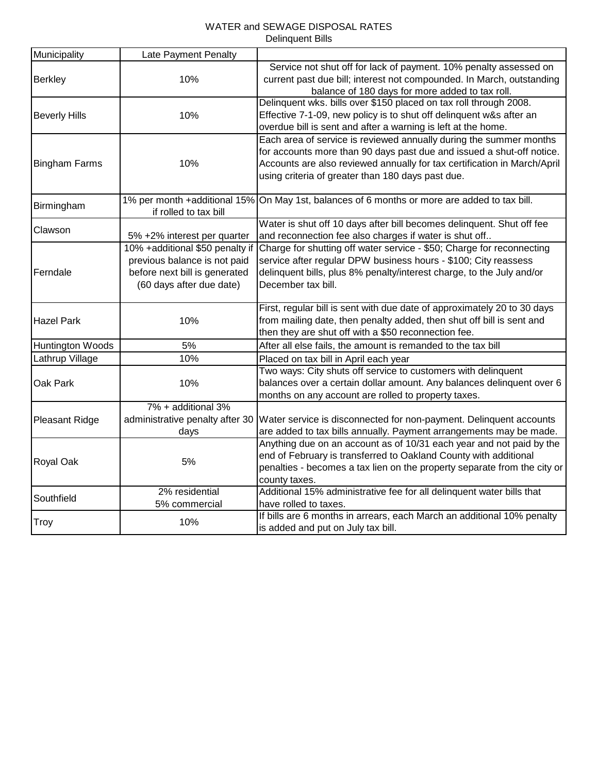# WATER and SEWAGE DISPOSAL RATES Delinquent Bills

| Municipality          | Late Payment Penalty            |                                                                                              |  |  |
|-----------------------|---------------------------------|----------------------------------------------------------------------------------------------|--|--|
|                       |                                 | Service not shut off for lack of payment. 10% penalty assessed on                            |  |  |
| <b>Berkley</b>        | 10%                             | current past due bill; interest not compounded. In March, outstanding                        |  |  |
|                       |                                 | balance of 180 days for more added to tax roll.                                              |  |  |
|                       |                                 | Delinquent wks. bills over \$150 placed on tax roll through 2008.                            |  |  |
| <b>Beverly Hills</b>  | 10%                             | Effective 7-1-09, new policy is to shut off delinquent w&s after an                          |  |  |
|                       |                                 | overdue bill is sent and after a warning is left at the home.                                |  |  |
|                       |                                 | Each area of service is reviewed annually during the summer months                           |  |  |
|                       |                                 | for accounts more than 90 days past due and issued a shut-off notice.                        |  |  |
| <b>Bingham Farms</b>  | 10%                             | Accounts are also reviewed annually for tax certification in March/April                     |  |  |
|                       |                                 | using criteria of greater than 180 days past due.                                            |  |  |
|                       |                                 | 1% per month +additional 15% On May 1st, balances of 6 months or more are added to tax bill. |  |  |
| Birmingham            | if rolled to tax bill           |                                                                                              |  |  |
| Clawson               |                                 | Water is shut off 10 days after bill becomes delinquent. Shut off fee                        |  |  |
|                       | 5% +2% interest per quarter     | and reconnection fee also charges if water is shut off                                       |  |  |
|                       | 10% +additional \$50 penalty if | Charge for shutting off water service - \$50; Charge for reconnecting                        |  |  |
|                       | previous balance is not paid    | service after regular DPW business hours - \$100; City reassess                              |  |  |
| Ferndale              | before next bill is generated   | delinquent bills, plus 8% penalty/interest charge, to the July and/or                        |  |  |
|                       | (60 days after due date)        | December tax bill.                                                                           |  |  |
|                       |                                 |                                                                                              |  |  |
|                       |                                 | First, regular bill is sent with due date of approximately 20 to 30 days                     |  |  |
| <b>Hazel Park</b>     | 10%                             | from mailing date, then penalty added, then shut off bill is sent and                        |  |  |
|                       |                                 | then they are shut off with a \$50 reconnection fee.                                         |  |  |
| Huntington Woods      | 5%                              | After all else fails, the amount is remanded to the tax bill                                 |  |  |
| Lathrup Village       | 10%                             | Placed on tax bill in April each year                                                        |  |  |
|                       |                                 | Two ways: City shuts off service to customers with delinquent                                |  |  |
| Oak Park              | 10%                             | balances over a certain dollar amount. Any balances delinquent over 6                        |  |  |
|                       |                                 | months on any account are rolled to property taxes.                                          |  |  |
|                       | 7% + additional 3%              |                                                                                              |  |  |
| <b>Pleasant Ridge</b> | administrative penalty after 30 | Water service is disconnected for non-payment. Delinquent accounts                           |  |  |
|                       | days                            | are added to tax bills annually. Payment arrangements may be made.                           |  |  |
|                       |                                 | Anything due on an account as of 10/31 each year and not paid by the                         |  |  |
| Royal Oak             | 5%                              | end of February is transferred to Oakland County with additional                             |  |  |
|                       |                                 | penalties - becomes a tax lien on the property separate from the city or                     |  |  |
|                       |                                 | county taxes.                                                                                |  |  |
| Southfield            | 2% residential                  | Additional 15% administrative fee for all delinquent water bills that                        |  |  |
|                       | 5% commercial                   | have rolled to taxes.                                                                        |  |  |
| <b>Troy</b>           | 10%                             | If bills are 6 months in arrears, each March an additional 10% penalty                       |  |  |
|                       |                                 | is added and put on July tax bill.                                                           |  |  |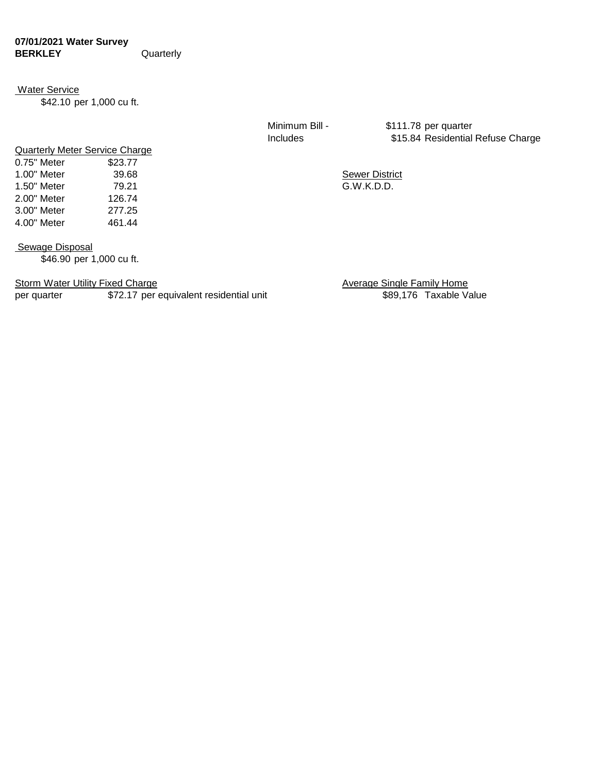### **07/01/2021 Water Survey BERKLEY** Quarterly

#### Water Service

\$42.10 per 1,000 cu ft.

Quarterly Meter Service Charge 0.75" Meter \$23.77

2.00" Meter 126.74 3.00" Meter 277.25 4.00" Meter 461.44

Minimum Bill - \$111.78 per quarter Includes \$15.84 Residential Refuse Charge

1.00" Meter 39.68 39.68 Sewer District 1.50" Meter 79.21 G.W.K.D.D.

Sewage Disposal

\$46.90 per 1,000 cu ft.

Storm Water Utility Fixed Charge Average Single Family Home

per quarter **\$72.17** per equivalent residential unit **\$89,176** Taxable Value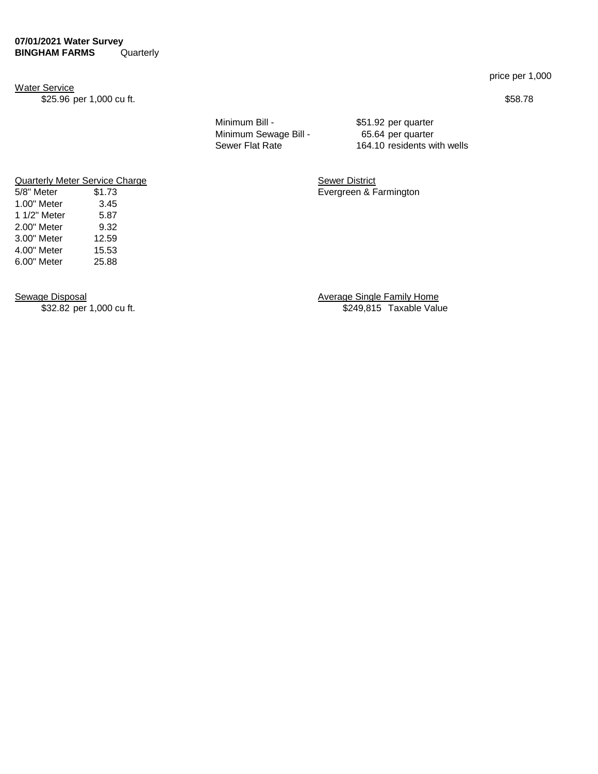#### **07/01/2021 Water Survey BINGHAM FARMS** Quarterly

Water Service

\$25.96 per 1,000 cu ft. \$58.78

Minimum Bill - \$51.92 per quarter Minimum Sewage Bill - 65.64 per quarter

Sewer Flat Rate 164.10 residents with wells

**Quarterly Meter Service Charge Sewer District Contract Sewer District** 5/8" Meter \$1.73 Evergreen & Farmington

1.00" Meter 3.45 1 1/2" Meter 5.87<br>2.00" Meter 9.32

3.00" Meter 12.59 4.00" Meter 15.53 6.00" Meter 25.88

 $2.00"$  Meter

Sewage Disposal **Sewage Single Family Home** \$32.82 per 1,000 cu ft. **\$249,815** Taxable Value

price per 1,000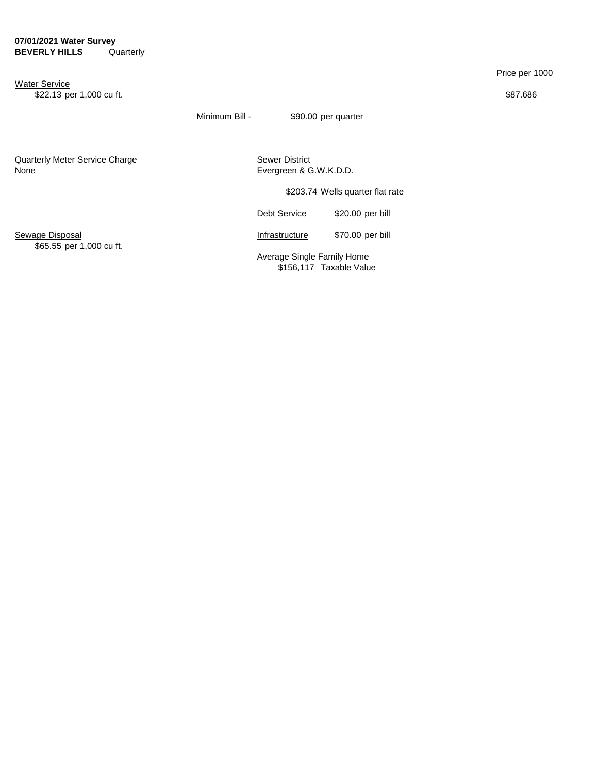Water Service \$22.13 per 1,000 cu ft. \$87.686

Price per 1000

Minimum Bill - \$90.00 per quarter

**Quarterly Meter Service Charge Community Control Charge Sewer District** None **Evergreen & G.W.K.D.D.** 

\$203.74 Wells quarter flat rate

Debt Service \$20.00 per bill

Sewage Disposal **Infrastructure** \$70.00 per bill

\$65.55 per 1,000 cu ft.

Average Single Family Home \$156,117 Taxable Value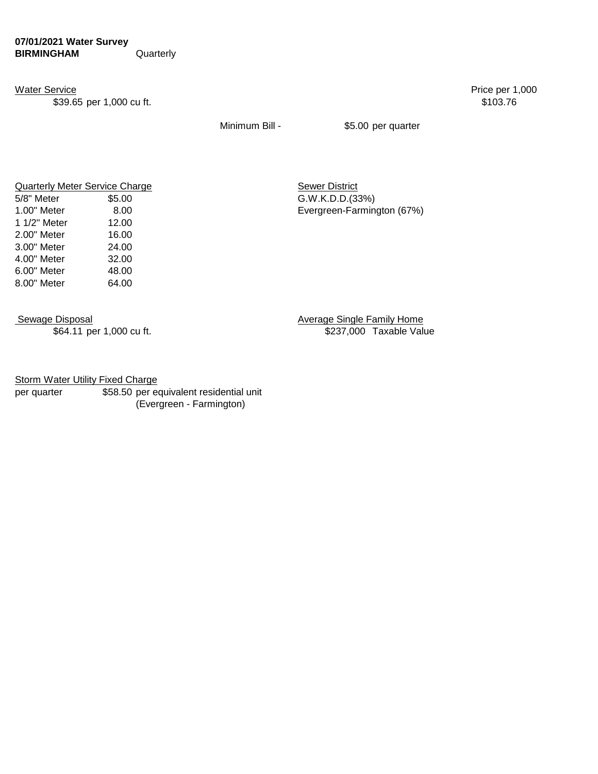\$39.65 per 1,000 cu ft. \$103.76

Water Service Price per 1,000

Minimum Bill - \$5.00 per quarter

| Quarterly Meter Service Charge |        |
|--------------------------------|--------|
| 5/8" Meter                     | \$5.00 |
| 1.00" Meter                    | 8.00   |
| 1 1/2" Meter                   | 12.00  |
| 2.00" Meter                    | 16.00  |
| 3.00" Meter                    | 24.00  |
| 4.00" Meter                    | 32.00  |
| 6.00" Meter                    | 48.00  |
| 8.00" Meter                    | 64.00  |
|                                |        |

**Quarterly Meter Service Charge Sewer District** G.W.K.D.D.(33%) Evergreen-Farmington (67%)

Sewage Disposal **Average Single Family Home** \$64.11 per 1,000 cu ft. \$237,000 Taxable Value

**Storm Water Utility Fixed Charge** 

per quarter \$58.50 per equivalent residential unit (Evergreen - Farmington)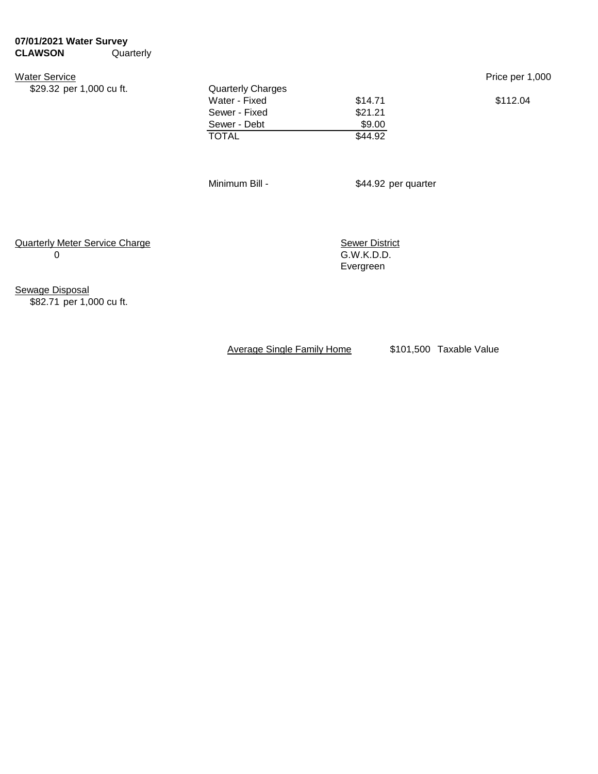## **07/01/2021 Water Survey CLAWSON** Quarterly

Water Service Price per 1,000

| \$29.32 per 1,000 cu ft. | <b>Quarterly Charges</b> |         |          |  |
|--------------------------|--------------------------|---------|----------|--|
|                          | Water - Fixed            | \$14.71 | \$112.04 |  |
|                          | Sewer - Fixed            | \$21.21 |          |  |
|                          | Sewer - Debt             | \$9.00  |          |  |
|                          | <b>TOTAL</b>             | \$44.92 |          |  |
|                          |                          |         |          |  |

Minimum Bill - \$44.92 per quarter

Quarterly Meter Service Charge<br>
0
0
5.W.K.D.D.

 $G.W.K.D.D.$ Evergreen

Sewage Disposal \$82.71 per 1,000 cu ft.

Average Single Family Home \$101,500 Taxable Value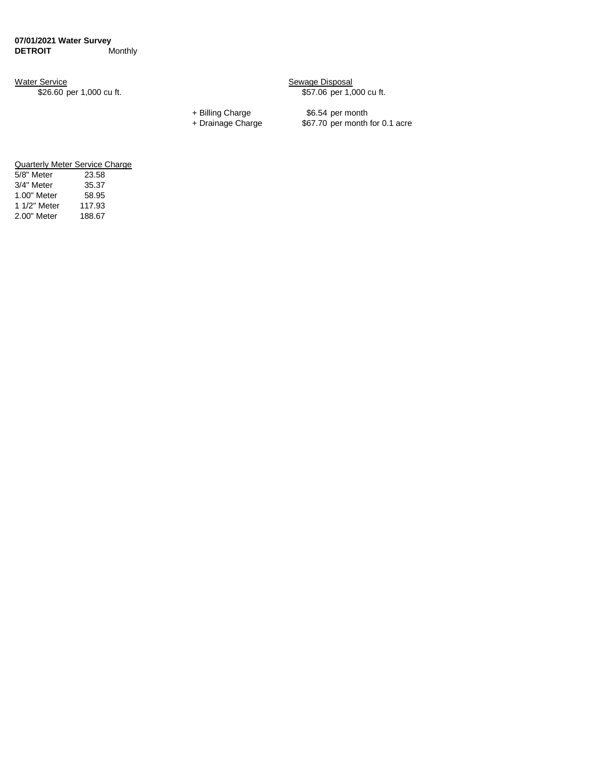Water Service **Subset Contracts** Sewage Disposal \$26.60 per 1,000 cu ft. \$57.06 per 1,000 cu ft.

+ Billing Charge \$6.54 per month<br>+ Drainage Charge \$67.70 per month \$67.70 per month for 0.1 acre

| Quarterly Meter Service Charge |        |  |  |  |
|--------------------------------|--------|--|--|--|
| 5/8" Meter                     | 23.58  |  |  |  |
| 3/4" Meter                     | 35.37  |  |  |  |
| 1.00" Meter                    | 58.95  |  |  |  |
| 1 1/2" Meter                   | 117.93 |  |  |  |
| 2.00" Meter                    | 188.67 |  |  |  |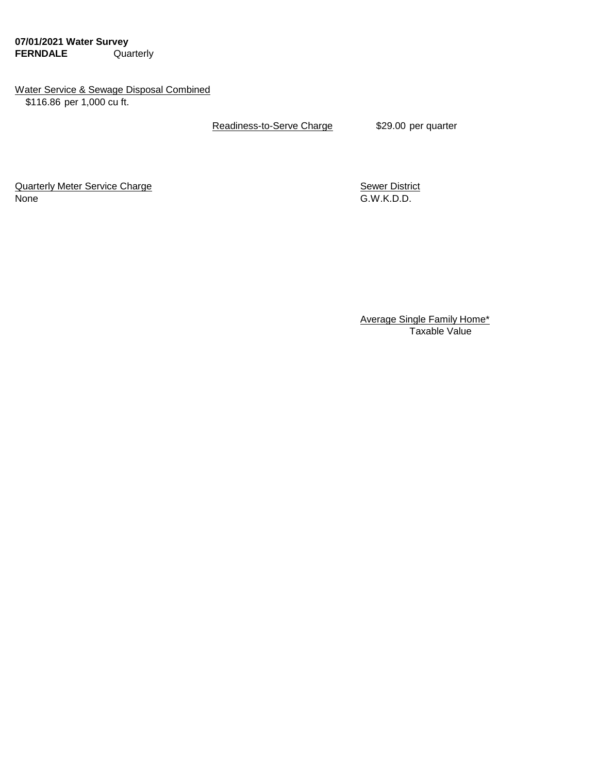**07/01/2021 Water Survey FERNDALE** Quarterly

## Water Service & Sewage Disposal Combined \$116.86 per 1,000 cu ft.

Readiness-to-Serve Charge \$29.00 per quarter

Quarterly Meter Service Charge **Sewer District** Sewer District None G.W.K.D.D.

Average Single Family Home\* Taxable Value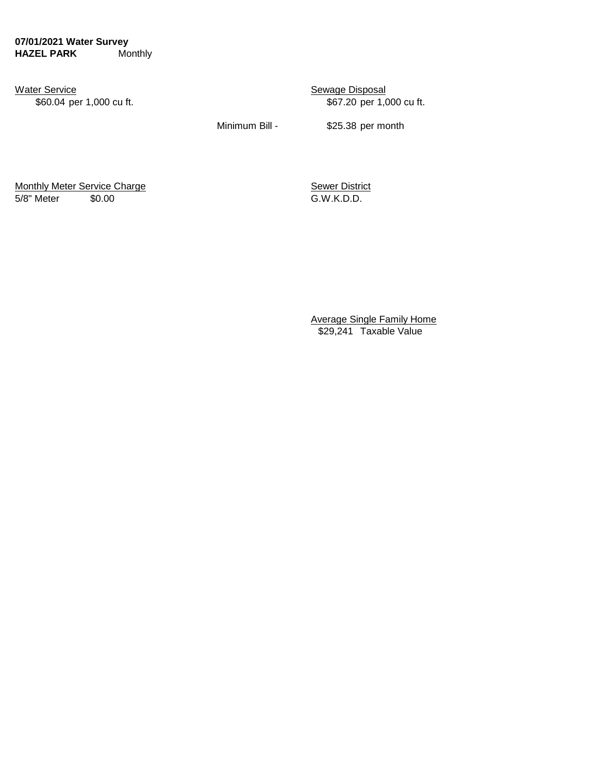**07/01/2021 Water Survey HAZEL PARK** Monthly

Water Service **Sexually Sexuage Disposal** 

\$60.04 per 1,000 cu ft.  $$67.20$  per 1,000 cu ft.

Minimum Bill - \$25.38 per month

Monthly Meter Service Charge Sewer District 5/8" Meter \$0.00 G.W.K.D.D.

Average Single Family Home \$29,241 Taxable Value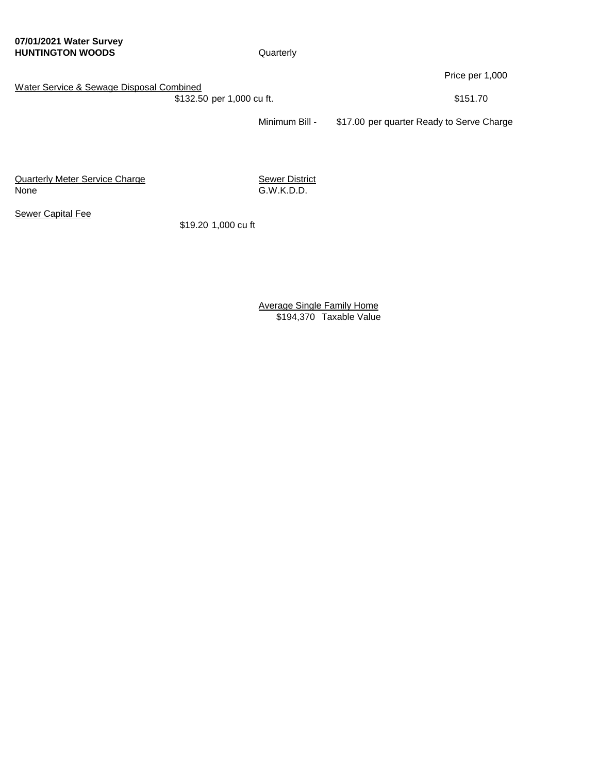**07/01/2021 Water Survey HUNTINGTON WOODS** Quarterly

Price per 1,000

Water Service & Sewage Disposal Combined

\$132.50 per 1,000 cu ft. \$151.70

Minimum Bill - \$17.00 per quarter Ready to Serve Charge

**Quarterly Meter Service Charge Community Sewer District** None G.W.K.D.D.

**Sewer Capital Fee** 

\$19.20 1,000 cu ft

Average Single Family Home \$194,370 Taxable Value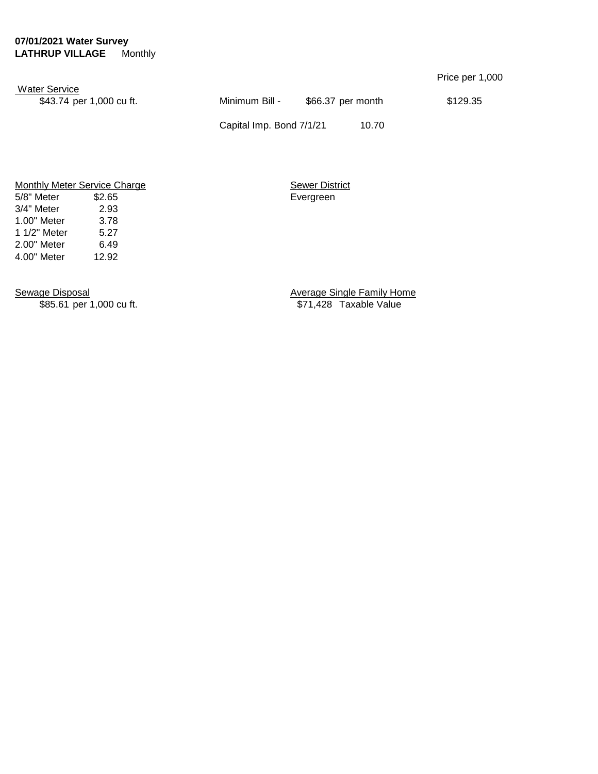### **07/01/2021 Water Survey LATHRUP VILLAGE** Monthly

|                                                  |                          |                   | Price per 1,000 |
|--------------------------------------------------|--------------------------|-------------------|-----------------|
| <b>Water Service</b><br>\$43.74 per 1,000 cu ft. | Minimum Bill -           | \$66.37 per month | \$129.35        |
|                                                  | Capital Imp. Bond 7/1/21 | 10.70             |                 |

Monthly Meter Service Charge Sewer District 5/8" Meter \$2.65 Evergreen 3/4" Meter 2.93 1.00" Meter 3.78 1 1/2" Meter 5.27 2.00" Meter 6.49 4.00" Meter 12.92

Sewage Disposal Sewage Oisposal Sewage Single Family Home<br>
\$85.61 per 1,000 cu ft. <br>
\$71,428 Taxable Value \$71,428 Taxable Value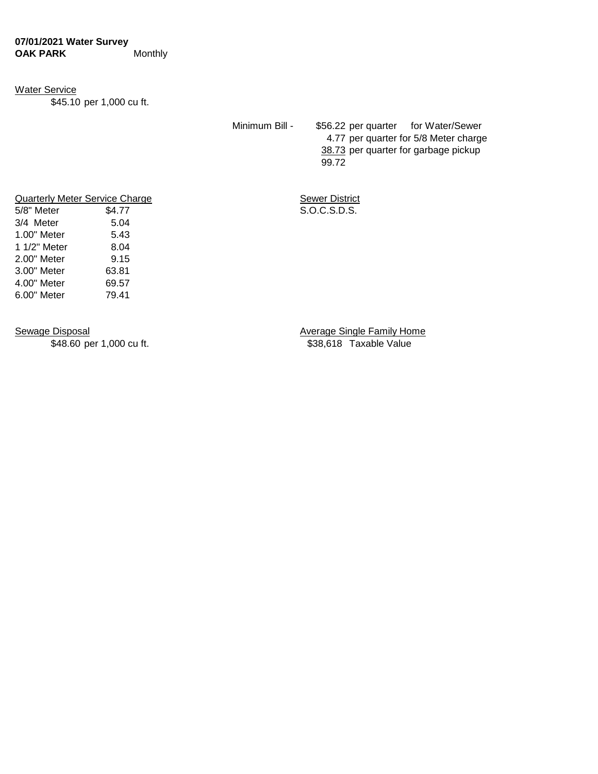### Water Service

\$45.10 per 1,000 cu ft.

Minimum Bill - \$56.22 per quarter for Water/Sewer 4.77 per quarter for 5/8 Meter charge 38.73 per quarter for garbage pickup 99.72

**Duarterly Meter Service Charge Sewer District**  $S.O.C.S.D.S.$ 

| Quarterly Meter Service Charg |        |  |  |  |
|-------------------------------|--------|--|--|--|
| 5/8" Meter                    | \$4.77 |  |  |  |
| 3/4 Meter                     | 5.04   |  |  |  |
| 1.00" Meter                   | 5.43   |  |  |  |
| 1 1/2" Meter                  | 8.04   |  |  |  |
| 2.00" Meter                   | 9.15   |  |  |  |
| 3.00" Meter                   | 63.81  |  |  |  |
| 4.00" Meter                   | 69.57  |  |  |  |
| 6.00" Meter                   | 79.41  |  |  |  |
|                               |        |  |  |  |

\$48.60 per 1,000 cu ft.

Sewage Disposal Sewage Osposal Sewage Single Family Home<br>
\$48.60 per 1,000 cu ft. \$38,618 Taxable Value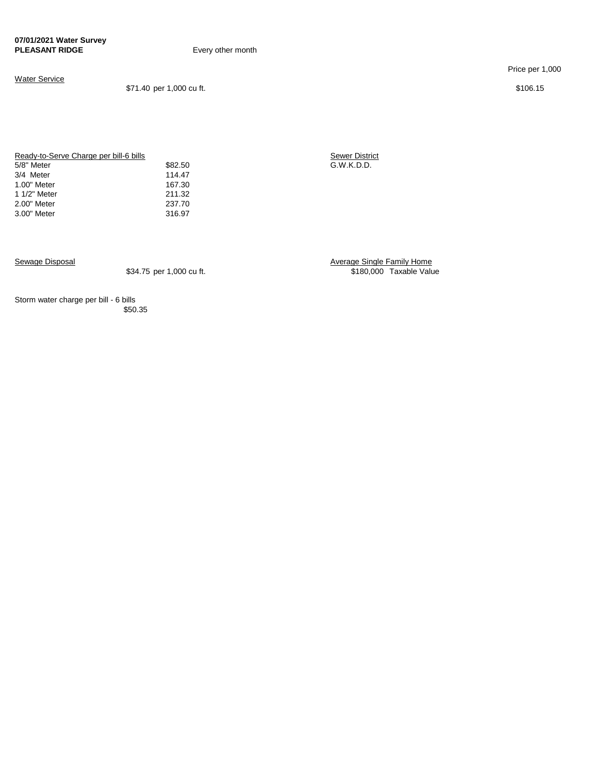**Every other month** 

#### Water Service

\$71.40 per 1,000 cu ft. \$106.15

Price per 1,000

Ready-to-Serve Charge per bill-6 bills<br>5/8" Meter \$82.50 3/4 Meter 114.47<br>1.00" Meter 167.30 1.00" Meter 167.30<br>1.00" Meter 1/2" Meter 211.32 1 1/2" Meter 211.32<br>2.00" Meter 237.70 2.00" Meter 3.00" Meter 316.97

Sewer District<br>
\$82.50 G.W.K.D.D.<br>
114.47

Sewage Disposal Average Single Family Home \$180,000 Taxable Value

Storm water charge per bill - 6 bills \$50.35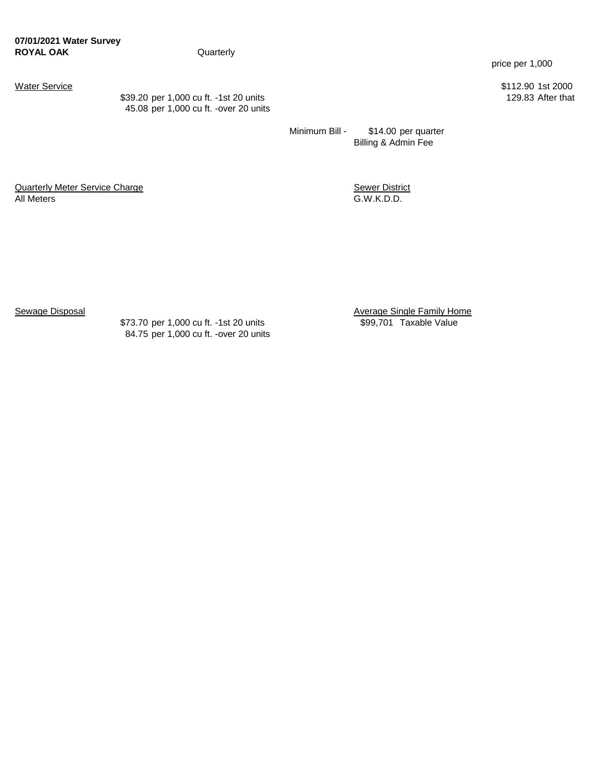\$39.20 per 1,000 cu ft. -1st 20 units 45.08 per 1,000 cu ft. -over 20 units price per 1,000

Water Service \$112.90 1st 2000<br>\$39.20 per 1,000 cu ft. -1st 20 units \$39.20 per 1,000 cu ft. -1st 20 units

Minimum Bill - \$14.00 per quarter Billing & Admin Fee

**Quarterly Meter Service Charge Contract Contract Contract Contract Contract Contract Contract Contract Contract Contract Contract Contract Contract Contract Contract Contract Contract Contract Contract Contract Contract C** All Meters G.W.K.D.D.

\$73.70 per 1,000 cu ft. -1st 20 units \$99,701 Taxable Value 84.75 per 1,000 cu ft. -over 20 units

Sewage Disposal **Sewage Single Family Home**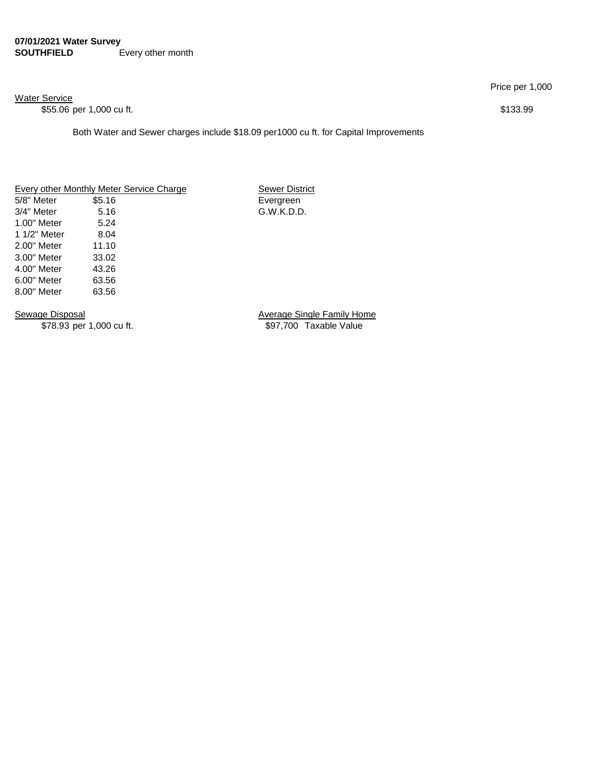#### **07/01/2021 Water Survey SOUTHFIELD** Every other month

Water Service

\$55.06 per 1,000 cu ft. \$133.99

Both Water and Sewer charges include \$18.09 per1000 cu ft. for Capital Improvements

#### Every other Monthly Meter Service Charge Sewer District

5/8" Meter \$5.16 Evergreen 3/4" Meter 5.16 G.W.K.D.D. 1.00" Meter 5.24 1 1/2" Meter 8.04 2.00" Meter 11.10 3.00" Meter 33.02 4.00" Meter 43.26 6.00" Meter 63.56 8.00" Meter 63.56

Sewage Disposal **Average Single Family Home** \$78.93 per 1,000 cu ft. \$97,700 Taxable Value

Price per 1,000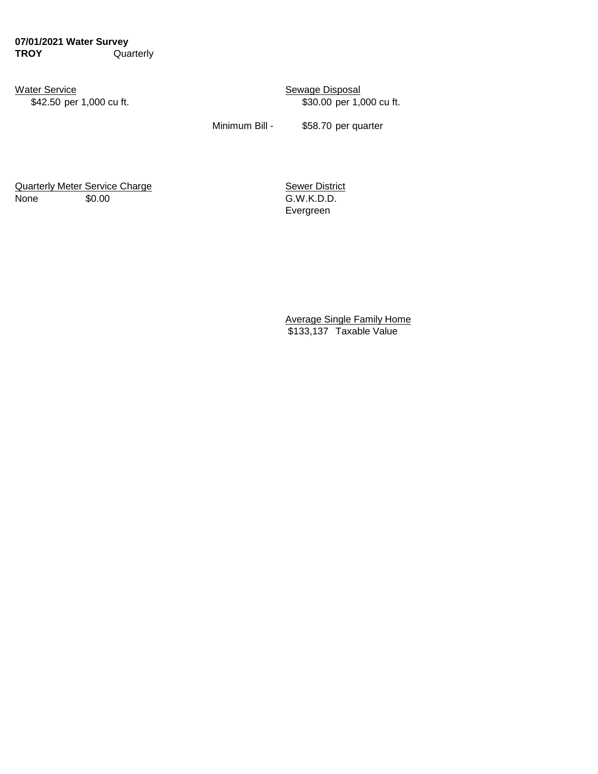**07/01/2021 Water Survey TROY** Quarterly

Water Service **Sexuage Disposal** 

\$42.50 per 1,000 cu ft. \$30.00 per 1,000 cu ft.

Minimum Bill - \$58.70 per quarter

Quarterly Meter Service Charge **Sexer District** Sewer District None \$0.00 \$0.00 G.W.K.D.D.

Evergreen

Average Single Family Home \$133,137 Taxable Value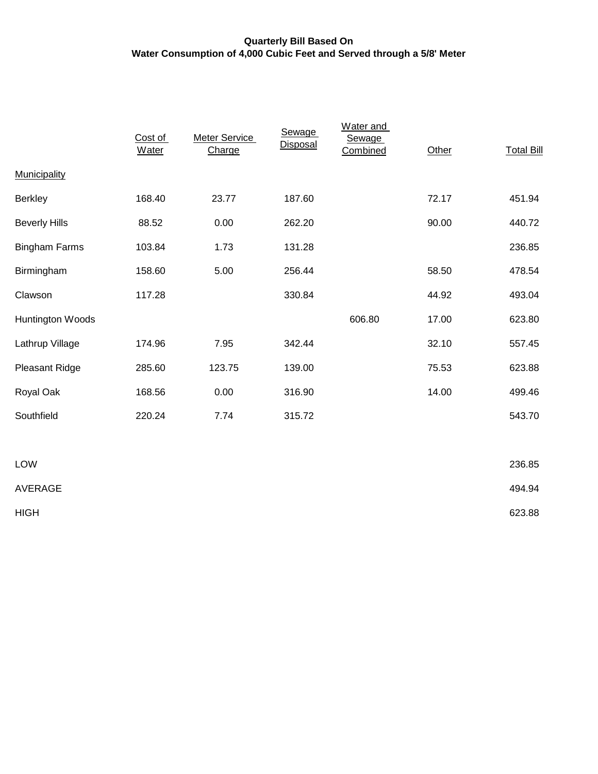## **Quarterly Bill Based On Water Consumption of 4,000 Cubic Feet and Served through a 5/8' Meter**

|                      | Cost of<br><b>Water</b> | <b>Meter Service</b><br>Charge | Sewage<br><b>Disposal</b> | Water and<br><b>Sewage</b><br>Combined | Other | <b>Total Bill</b> |
|----------------------|-------------------------|--------------------------------|---------------------------|----------------------------------------|-------|-------------------|
| <b>Municipality</b>  |                         |                                |                           |                                        |       |                   |
| <b>Berkley</b>       | 168.40                  | 23.77                          | 187.60                    |                                        | 72.17 | 451.94            |
| <b>Beverly Hills</b> | 88.52                   | 0.00                           | 262.20                    |                                        | 90.00 | 440.72            |
| <b>Bingham Farms</b> | 103.84                  | 1.73                           | 131.28                    |                                        |       | 236.85            |
| Birmingham           | 158.60                  | 5.00                           | 256.44                    |                                        | 58.50 | 478.54            |
| Clawson              | 117.28                  |                                | 330.84                    |                                        | 44.92 | 493.04            |
| Huntington Woods     |                         |                                |                           | 606.80                                 | 17.00 | 623.80            |
| Lathrup Village      | 174.96                  | 7.95                           | 342.44                    |                                        | 32.10 | 557.45            |
| Pleasant Ridge       | 285.60                  | 123.75                         | 139.00                    |                                        | 75.53 | 623.88            |
| Royal Oak            | 168.56                  | 0.00                           | 316.90                    |                                        | 14.00 | 499.46            |
| Southfield           | 220.24                  | 7.74                           | 315.72                    |                                        |       | 543.70            |
|                      |                         |                                |                           |                                        |       |                   |

| LOW         | 236.85 |
|-------------|--------|
| AVERAGE     | 494.94 |
| <b>HIGH</b> | 623.88 |